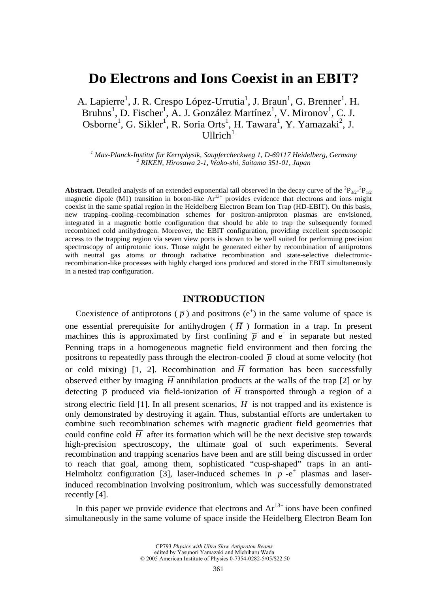# **Do Electrons and Ions Coexist in an EBIT?**

A. Lapierre<sup>1</sup>, J. R. Crespo López-Urrutia<sup>1</sup>, J. Braun<sup>1</sup>, G. Brenner<sup>1</sup>. H. Bruhns<sup>1</sup>, D. Fischer<sup>1</sup>, A. J. González Martínez<sup>1</sup>, V. Mironov<sup>1</sup>, C. J. Osborne<sup>1</sup>, G. Sikler<sup>1</sup>, R. Soria Orts<sup>1</sup>, H. Tawara<sup>1</sup>, Y. Yamazaki<sup>2</sup>, J. Ullrich<sup>1</sup>

<sup>1</sup> Max-Planck-Institut für Kernphysik, Saupfercheckweg 1, D-69117 Heidelberg, Germany<br><sup>2</sup> PIKEN, Hirosawa 2, 1. Wake shi, Saitawa 351, 01. Japan  *RIKEN, Hirosawa 2-1, Wako-shi, Saitama 351-01, Japan* 

**Abstract.** Detailed analysis of an extended exponential tail observed in the decay curve of the  ${}^{2}P_{3/2}{}^{2}P_{1/2}$ magnetic dipole (M1) transition in boron-like  $Ar^{13+}$  provides evidence that electrons and ions might coexist in the same spatial region in the Heidelberg Electron Beam Ion Trap (HD-EBIT). On this basis, new trapping–cooling–recombination schemes for positron-antiproton plasmas are envisioned, integrated in a magnetic bottle configuration that should be able to trap the subsequently formed recombined cold antihydrogen. Moreover, the EBIT configuration, providing excellent spectroscopic access to the trapping region via seven view ports is shown to be well suited for performing precision spectroscopy of antiprotonic ions. Those might be generated either by recombination of antiprotons with neutral gas atoms or through radiative recombination and state-selective dielectronicrecombination-like processes with highly charged ions produced and stored in the EBIT simultaneously in a nested trap configuration.

# **INTRODUCTION**

Coexistence of antiprotons ( $\bar{p}$ ) and positrons ( $e^+$ ) in the same volume of space is one essential prerequisite for antihydrogen ( $\overline{H}$ ) formation in a trap. In present machines this is approximated by first confining  $\bar{p}$  and  $e^+$  in separate but nested Penning traps in a homogeneous magnetic field environment and then forcing the positrons to repeatedly pass through the electron-cooled  $\bar{p}$  cloud at some velocity (hot or cold mixing) [1, 2]. Recombination and  $\overline{H}$  formation has been successfully observed either by imaging  $\overline{H}$  annihilation products at the walls of the trap [2] or by detecting  $\bar{p}$  produced via field-ionization of  $\bar{H}$  transported through a region of a strong electric field [1]. In all present scenarios,  $\overline{H}$  is not trapped and its existence is only demonstrated by destroying it again. Thus, substantial efforts are undertaken to combine such recombination schemes with magnetic gradient field geometries that could confine cold  $\overline{H}$  after its formation which will be the next decisive step towards high-precision spectroscopy, the ultimate goal of such experiments. Several recombination and trapping scenarios have been and are still being discussed in order to reach that goal, among them, sophisticated "cusp-shaped" traps in an anti-Helmholtz configuration [3], laser-induced schemes in  $\bar{p}$  -e<sup>+</sup> plasmas and laserinduced recombination involving positronium, which was successfully demonstrated recently [4].

In this paper we provide evidence that electrons and  $Ar^{13+}$  ions have been confined simultaneously in the same volume of space inside the Heidelberg Electron Beam Ion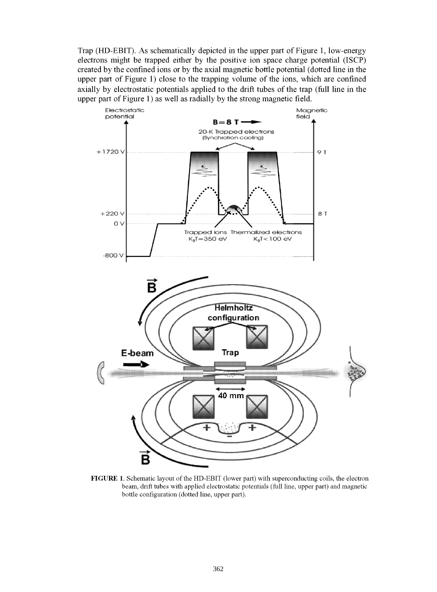Trap (HD-EBIT). As schematically depicted in the upper part of Figure 1, low-energy electrons might be trapped either by the positive ion space charge potential (ISCP) created by the confined ions or by the axial magnetic bottle potential (dotted line in the upper part of Figure 1) close to the trapping volume of the ions, which are confined axially by electrostatic potentials applied to the drift tubes of the trap (full line in the upper part of Figure 1) as well as radially by the strong magnetic field.



**FIGURE 1.** Schematic layout of the HD-EBIT (lower part) with superconducting coils, the electron beam, drift tubes with applied electrostatic potentials (full line, upper part) and magnetic bottle configuration (dotted line, upper part).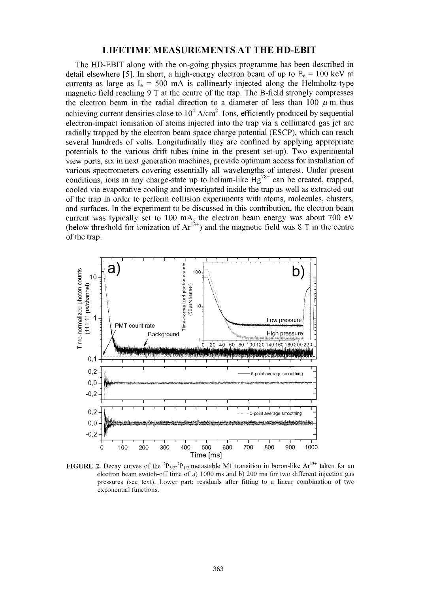## **LIFETIME MEASUREMENTS AT THE HD-EBIT**

The HD-EBIT along with the on-going physics programme has been described in detail elsewhere [5]. In short, a high-energy electron beam of up to  $E_e = 100 \text{ keV}$  at currents as large as  $I_e = 500$  mA is collinearly injected along the Helmholtz-type magnetic field reaching 9 T at the centre of the trap. The B-field strongly compresses the electron beam in the radial direction to a diameter of less than 100  $\mu$  m thus achieving current densities close to  $10^4$  A/cm<sup>2</sup>. Ions, efficiently produced by sequential electron-impact ionisation of atoms injected into the trap via a collimated gas jet are radially trapped by the electron beam space charge potential (ESCP), which can reach several hundreds of volts. Longitudinally they are confined by applying appropriate potentials to the various drift tubes (nine in the present set-up). Two experimental view ports, six in next generation machines, provide optimum access for installation of various spectrometers covering essentially all wavelengths of interest. Under present conditions, ions in any charge-state up to helium-like  $Hg^{78+}$  can be created, trapped, cooled via evaporative cooling and investigated inside the trap as well as extracted out of the trap in order to perform collision experiments with atoms, molecules, clusters, and surfaces. In the experiment to be discussed in this contribution, the electron beam current was typically set to 100 mA, the electron beam energy was about 700 eV (below threshold for ionization of  $Ar^{13+}$ ) and the magnetic field was 8 T in the centre of the trap.



**FIGURE 2.** Decay curves of the  ${}^{2}P_{3/2}{}^{2}P_{1/2}$  metastable M1 transition in boron-like Ar<sup>13+</sup> taken for an electron beam switch-off time of a) 1000 ms and b) 200 ms for two different injection gas pressures (see text). Lower part: residuals after fitting to a linear combination of two exponential functions.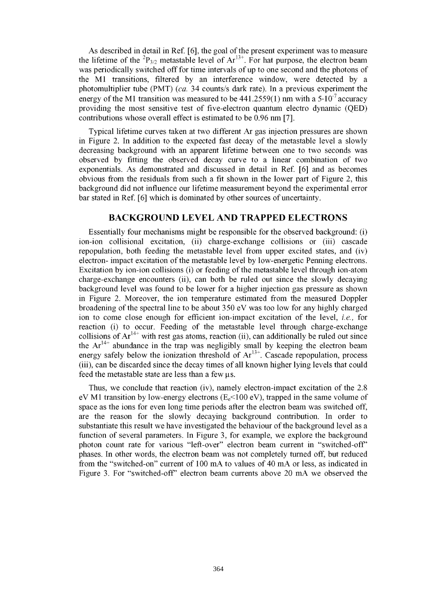As described in detail in Ref. [6], the goal of the present experiment was to measure the lifetime of the  ${}^{2}P_{3/2}$  metastable level of  $Ar^{13+}$ . For hat purpose, the electron beam was periodically switched off for time intervals of up to one second and the photons of the Ml transitions, filtered by an interference window, were detected by a photomultiplier tube (PMT) *(ca.* 34 counts/s dark rate). In a previous experiment the energy of the M1 transition was measured to be  $441.2559(1)$  nm with a  $5.10<sup>-7</sup>$  accuracy providing the most sensitive test of five-electron quantum electro dynamic (QED) contributions whose overall effect is estimated to be 0.96 nm [7].

Typical lifetime curves taken at two different Ar gas injection pressures are shown in Figure 2. In addition to the expected fast decay of the metastable level a slowly decreasing background with an apparent lifetime between one to two seconds was observed by fitting the observed decay curve to a linear combination of two exponentials. As demonstrated and discussed in detail in Ref. [6] and as becomes obvious from the residuals from such a fit shown in the lower part of Figure 2, this background did not influence our lifetime measurement beyond the experimental error bar stated in Ref. [6] which is dominated by other sources of uncertainty.

#### **BACKGROUND LEVEL AND TRAPPED ELECTRONS**

Essentially four mechanisms might be responsible for the observed background: (i) ion-ion collisional excitation, (ii) charge-exchange collisions or (iii) cascade repopulation, both feeding the metastable level from upper excited states, and (iv) electron- impact excitation of the metastable level by low-energetic Penning electrons. Excitation by ion-ion collisions (i) or feeding of the metastable level through ion-atom charge-exchange encounters (ii), can both be ruled out since the slowly decaying background level was found to be lower for a higher injection gas pressure as shown in Figure 2. Moreover, the ion temperature estimated from the measured Doppler broadening of the spectral line to be about 350 eV was too low for any highly charged ion to come close enough for efficient ion-impact excitation of the level, *i.e.,* for reaction (i) to occur. Feeding of the metastable level through charge-exchange collisions of  $Ar^{14+}$  with rest gas atoms, reaction (ii), can additionally be ruled out since the  $Ar^{14+}$  abundance in the trap was negligibly small by keeping the electron beam energy safely below the ionization threshold of  $Ar^{13+}$ . Cascade repopulation, process (iii), can be discarded since the decay times of all known higher lying levels that could feed the metastable state are less than a few  $\mu$ s.

Thus, we conclude that reaction (iv), namely electron-impact excitation of the 2.8 eV M1 transition by low-energy electrons ( $E_e$ <100 eV), trapped in the same volume of space as the ions for even long time periods after the electron beam was switched off, are the reason for the slowly decaying background contribution. In order to substantiate this result we have investigated the behaviour of the background level as a function of several parameters. In Figure 3, for example, we explore the background photon count rate for various "left-over" electron beam current in "switched-off phases. In other words, the electron beam was not completely turned off, but reduced from the "switched-on" current of 100 mA to values of 40 mA or less, as indicated in Figure 3. For "switched-off" electron beam currents above 20 mA we observed the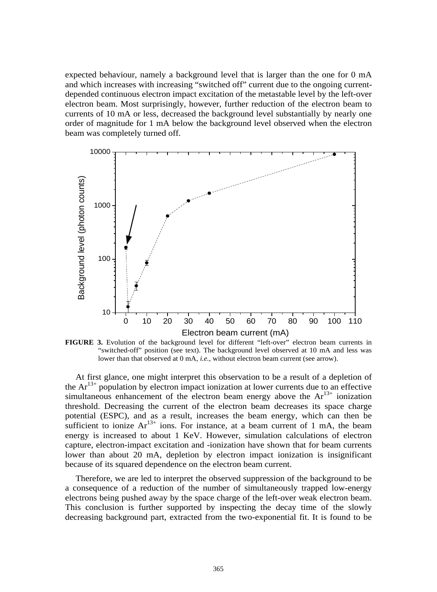expected behaviour, namely a background level that is larger than the one for 0 mA and which increases with increasing "switched off" current due to the ongoing currentdepended continuous electron impact excitation of the metastable level by the left-over electron beam. Most surprisingly, however, further reduction of the electron beam to currents of 10 mA or less, decreased the background level substantially by nearly one order of magnitude for 1 mA below the background level observed when the electron beam was completely turned off.



**FIGURE 3.** Evolution of the background level for different "left-over" electron beam currents in "switched-off" position (see text). The background level observed at 10 mA and less was lower than that observed at 0 mA, *i.e.*, without electron beam current (see arrow).

At first glance, one might interpret this observation to be a result of a depletion of the  $Ar^{13+}$  population by electron impact ionization at lower currents due to an effective simultaneous enhancement of the electron beam energy above the  $Ar^{13+}$  ionization threshold. Decreasing the current of the electron beam decreases its space charge potential (ESPC), and as a result, increases the beam energy, which can then be sufficient to ionize  $Ar^{13+}$  ions. For instance, at a beam current of 1 mA, the beam energy is increased to about 1 KeV. However, simulation calculations of electron capture, electron-impact excitation and -ionization have shown that for beam currents lower than about 20 mA, depletion by electron impact ionization is insignificant because of its squared dependence on the electron beam current.

Therefore, we are led to interpret the observed suppression of the background to be a consequence of a reduction of the number of simultaneously trapped low-energy electrons being pushed away by the space charge of the left-over weak electron beam. This conclusion is further supported by inspecting the decay time of the slowly decreasing background part, extracted from the two-exponential fit. It is found to be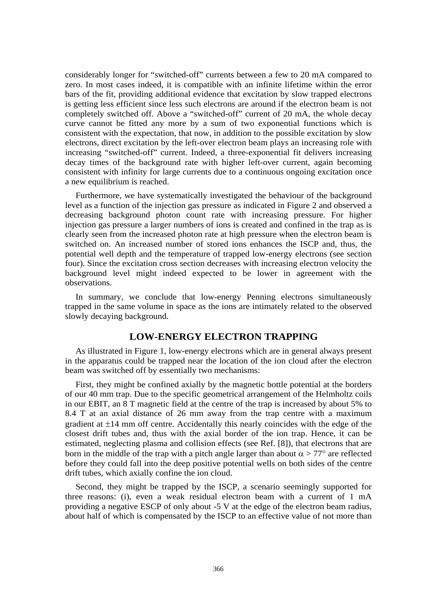considerably longer for "switched-off" currents between a few to 20 mA compared to zero. In most cases indeed, it is compatible with an infinite lifetime within the error bars of the fit, providing additional evidence that excitation by slow trapped electrons is getting less efficient since less such electrons are around if the electron beam is not completely switched off. Above a "switched-off" current of 20 mA, the whole decay curve cannot be fitted any more by a sum of two exponential functions which is consistent with the expectation, that now, in addition to the possible excitation by slow electrons, direct excitation by the left-over electron beam plays an increasing role with increasing "switched-off" current. Indeed, a three-exponential fit delivers increasing decay times of the background rate with higher left-over current, again becoming consistent with infinity for large currents due to a continuous ongoing excitation once a new equilibrium is reached.

Furthermore, we have systematically investigated the behaviour of the background level as a function of the injection gas pressure as indicated in Figure 2 and observed a decreasing background photon count rate with increasing pressure. For higher injection gas pressure a larger numbers of ions is created and confined in the trap as is clearly seen from the increased photon rate at high pressure when the electron beam is switched on. An increased number of stored ions enhances the ISCP and, thus, the potential well depth and the temperature of trapped low-energy electrons (see section four). Since the excitation cross section decreases with increasing electron velocity the background level might indeed expected to be lower in agreement with the observations.

In summary, we conclude that low-energy Penning electrons simultaneously trapped in the same volume in space as the ions are intimately related to the observed slowly decaying background.

# **LOW-ENERGY ELECTRON TRAPPING**

As illustrated in Figure 1, low-energy electrons which are in general always present in the apparatus could be trapped near the location of the ion cloud after the electron beam was switched off by essentially two mechanisms:

First, they might be confined axially by the magnetic bottle potential at the borders of our 40 mm trap. Due to the specific geometrical arrangement of the Helmholtz coils in our EBIT, an 8 T magnetic field at the centre of the trap is increased by about 5% to 8.4 T at an axial distance of 26 mm away from the trap centre with a maximum gradient at  $\pm 14$  mm off centre. Accidentally this nearly coincides with the edge of the closest drift tubes and, thus with the axial border of the ion trap. Hence, it can be estimated, neglecting plasma and collision effects (see Ref. [8]), that electrons that are born in the middle of the trap with a pitch angle larger than about  $\alpha > 77^{\circ}$  are reflected before they could fall into the deep positive potential wells on both sides of the centre drift tubes, which axially confine the ion cloud.

Second, they might be trapped by the ISCP, a scenario seemingly supported for three reasons: (i), even a weak residual electron beam with a current of 1 mA providing a negative ESCP of only about -5 V at the edge of the electron beam radius, about half of which is compensated by the ISCP to an effective value of not more than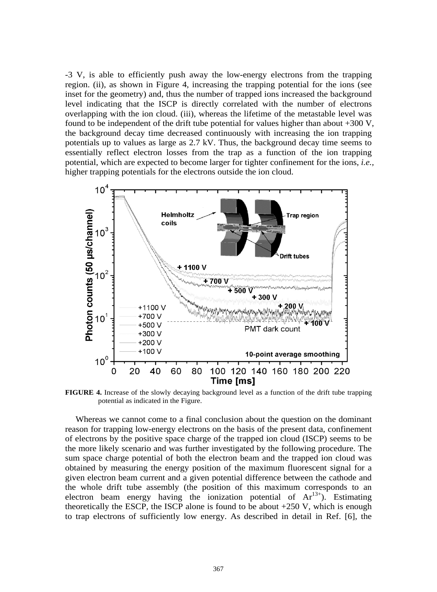-3 V, is able to efficiently push away the low-energy electrons from the trapping region. (ii), as shown in Figure 4, increasing the trapping potential for the ions (see inset for the geometry) and, thus the number of trapped ions increased the background level indicating that the ISCP is directly correlated with the number of electrons overlapping with the ion cloud. (iii), whereas the lifetime of the metastable level was found to be independent of the drift tube potential for values higher than about +300 V, the background decay time decreased continuously with increasing the ion trapping potentials up to values as large as 2.7 kV. Thus, the background decay time seems to essentially reflect electron losses from the trap as a function of the ion trapping potential, which are expected to become larger for tighter confinement for the ions, *i.e.,* higher trapping potentials for the electrons outside the ion cloud.



**FIGURE 4.** Increase of the slowly decaying background level as a function of the drift tube trapping potential as indicated in the Figure.

Whereas we cannot come to a final conclusion about the question on the dominant reason for trapping low-energy electrons on the basis of the present data, confinement of electrons by the positive space charge of the trapped ion cloud (ISCP) seems to be the more likely scenario and was further investigated by the following procedure. The sum space charge potential of both the electron beam and the trapped ion cloud was obtained by measuring the energy position of the maximum fluorescent signal for a given electron beam current and a given potential difference between the cathode and the whole drift tube assembly (the position of this maximum corresponds to an electron beam energy having the ionization potential of  $Ar^{13+}$ ). Estimating theoretically the ESCP, the ISCP alone is found to be about  $+250$  V, which is enough to trap electrons of sufficiently low energy. As described in detail in Ref. [6], the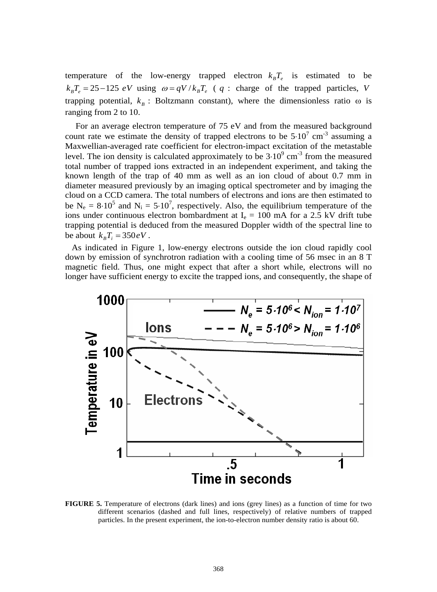temperature of the low-energy trapped electron  $k_B T_e$  is estimated to be  $k_B T_e = 25 - 125 \text{ eV}$  using  $\omega = qV / k_B T_e$  (q : charge of the trapped particles, *V* trapping potential,  $k_B$ : Boltzmann constant), where the dimensionless ratio  $\omega$  is ranging from 2 to 10.

For an average electron temperature of 75 eV and from the measured background count rate we estimate the density of trapped electrons to be  $5 \cdot 10^7$  cm<sup>-3</sup> assuming a Maxwellian-averaged rate coefficient for electron-impact excitation of the metastable level. The ion density is calculated approximately to be  $3·10<sup>9</sup>$  cm<sup>-3</sup> from the measured total number of trapped ions extracted in an independent experiment, and taking the known length of the trap of 40 mm as well as an ion cloud of about 0.7 mm in diameter measured previously by an imaging optical spectrometer and by imaging the cloud on a CCD camera. The total numbers of electrons and ions are then estimated to be  $N_e = 8.10^5$  and  $N_i = 5.10^7$ , respectively. Also, the equilibrium temperature of the ions under continuous electron bombardment at  $I_e = 100$  mA for a 2.5 kV drift tube trapping potential is deduced from the measured Doppler width of the spectral line to be about  $k<sub>B</sub>T<sub>i</sub> = 350 eV$ .

As indicated in Figure 1, low-energy electrons outside the ion cloud rapidly cool down by emission of synchrotron radiation with a cooling time of 56 msec in an 8 T magnetic field. Thus, one might expect that after a short while, electrons will no longer have sufficient energy to excite the trapped ions, and consequently, the shape of



**FIGURE 5.** Temperature of electrons (dark lines) and ions (grey lines) as a function of time for two different scenarios (dashed and full lines, respectively) of relative numbers of trapped particles. In the present experiment, the ion-to-electron number density ratio is about 60.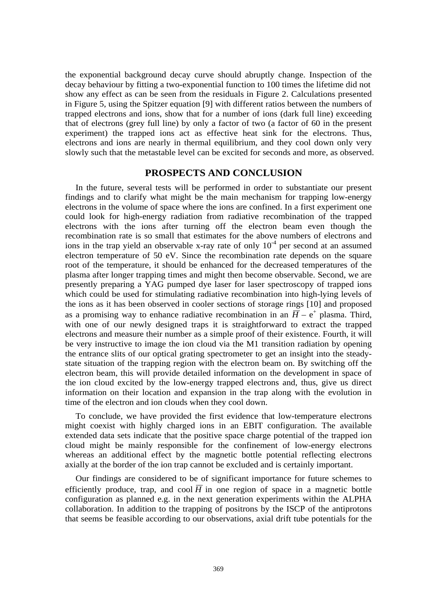the exponential background decay curve should abruptly change. Inspection of the decay behaviour by fitting a two-exponential function to 100 times the lifetime did not show any effect as can be seen from the residuals in Figure 2. Calculations presented in Figure 5, using the Spitzer equation [9] with different ratios between the numbers of trapped electrons and ions, show that for a number of ions (dark full line) exceeding that of electrons (grey full line) by only a factor of two (a factor of 60 in the present experiment) the trapped ions act as effective heat sink for the electrons. Thus, electrons and ions are nearly in thermal equilibrium, and they cool down only very slowly such that the metastable level can be excited for seconds and more, as observed.

# **PROSPECTS AND CONCLUSION**

In the future, several tests will be performed in order to substantiate our present findings and to clarify what might be the main mechanism for trapping low-energy electrons in the volume of space where the ions are confined. In a first experiment one could look for high-energy radiation from radiative recombination of the trapped electrons with the ions after turning off the electron beam even though the recombination rate is so small that estimates for the above numbers of electrons and ions in the trap yield an observable x-ray rate of only  $10^{-4}$  per second at an assumed electron temperature of 50 eV. Since the recombination rate depends on the square root of the temperature, it should be enhanced for the decreased temperatures of the plasma after longer trapping times and might then become observable. Second, we are presently preparing a YAG pumped dye laser for laser spectroscopy of trapped ions which could be used for stimulating radiative recombination into high-lying levels of the ions as it has been observed in cooler sections of storage rings [10] and proposed as a promising way to enhance radiative recombination in an  $\overline{H} - e^+$  plasma. Third, with one of our newly designed traps it is straightforward to extract the trapped electrons and measure their number as a simple proof of their existence. Fourth, it will be very instructive to image the ion cloud via the M1 transition radiation by opening the entrance slits of our optical grating spectrometer to get an insight into the steadystate situation of the trapping region with the electron beam on. By switching off the electron beam, this will provide detailed information on the development in space of the ion cloud excited by the low-energy trapped electrons and, thus, give us direct information on their location and expansion in the trap along with the evolution in time of the electron and ion clouds when they cool down.

To conclude, we have provided the first evidence that low-temperature electrons might coexist with highly charged ions in an EBIT configuration. The available extended data sets indicate that the positive space charge potential of the trapped ion cloud might be mainly responsible for the confinement of low-energy electrons whereas an additional effect by the magnetic bottle potential reflecting electrons axially at the border of the ion trap cannot be excluded and is certainly important.

Our findings are considered to be of significant importance for future schemes to efficiently produce, trap, and cool  $\overline{H}$  in one region of space in a magnetic bottle configuration as planned e.g. in the next generation experiments within the ALPHA collaboration. In addition to the trapping of positrons by the ISCP of the antiprotons that seems be feasible according to our observations, axial drift tube potentials for the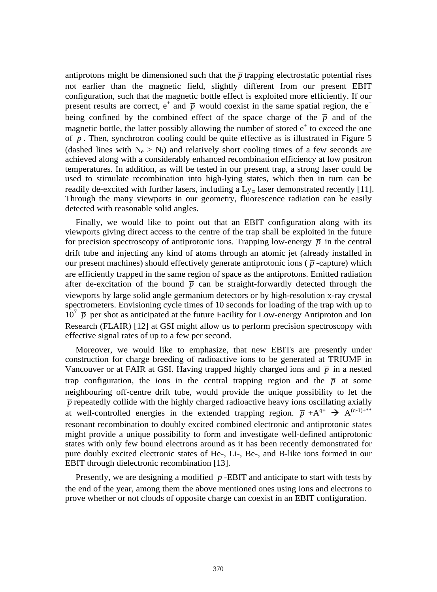antiprotons might be dimensioned such that the  $\bar{p}$  trapping electrostatic potential rises not earlier than the magnetic field, slightly different from our present EBIT configuration, such that the magnetic bottle effect is exploited more efficiently. If our present results are correct,  $e^+$  and  $\bar{p}$  would coexist in the same spatial region, the  $e^+$ being confined by the combined effect of the space charge of the  $\bar{p}$  and of the magnetic bottle, the latter possibly allowing the number of stored  $e<sup>+</sup>$  to exceed the one of  $\bar{p}$ . Then, synchrotron cooling could be quite effective as is illustrated in Figure 5 (dashed lines with  $N_e > N_i$ ) and relatively short cooling times of a few seconds are achieved along with a considerably enhanced recombination efficiency at low positron temperatures. In addition, as will be tested in our present trap, a strong laser could be used to stimulate recombination into high-lying states, which then in turn can be readily de-excited with further lasers, including a  $Ly_{\alpha}$  laser demonstrated recently [11]. Through the many viewports in our geometry, fluorescence radiation can be easily detected with reasonable solid angles.

Finally, we would like to point out that an EBIT configuration along with its viewports giving direct access to the centre of the trap shall be exploited in the future for precision spectroscopy of antiprotonic ions. Trapping low-energy  $\bar{p}$  in the central drift tube and injecting any kind of atoms through an atomic jet (already installed in our present machines) should effectively generate antiprotonic ions ( $\bar{p}$ -capture) which are efficiently trapped in the same region of space as the antiprotons. Emitted radiation after de-excitation of the bound  $\bar{p}$  can be straight-forwardly detected through the viewports by large solid angle germanium detectors or by high-resolution x-ray crystal spectrometers. Envisioning cycle times of 10 seconds for loading of the trap with up to  $10^7$   $\overline{p}$  per shot as anticipated at the future Facility for Low-energy Antiproton and Ion Research (FLAIR) [12] at GSI might allow us to perform precision spectroscopy with effective signal rates of up to a few per second.

Moreover, we would like to emphasize, that new EBITs are presently under construction for charge breeding of radioactive ions to be generated at TRIUMF in Vancouver or at FAIR at GSI. Having trapped highly charged ions and  $\bar{p}$  in a nested trap configuration, the ions in the central trapping region and the  $\bar{p}$  at some neighbouring off-centre drift tube, would provide the unique possibility to let the  $\bar{p}$  repeatedly collide with the highly charged radioactive heavy ions oscillating axially at well-controlled energies in the extended trapping region.  $\overline{p} + A^{q+} \rightarrow A^{(q-1)+**}$ resonant recombination to doubly excited combined electronic and antiprotonic states might provide a unique possibility to form and investigate well-defined antiprotonic states with only few bound electrons around as it has been recently demonstrated for pure doubly excited electronic states of He-, Li-, Be-, and B-like ions formed in our EBIT through dielectronic recombination [13].

Presently, we are designing a modified  $\bar{p}$ -EBIT and anticipate to start with tests by the end of the year, among them the above mentioned ones using ions and electrons to prove whether or not clouds of opposite charge can coexist in an EBIT configuration.